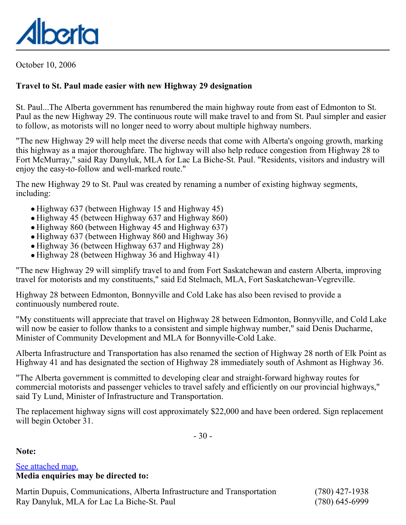

October 10, 2006

## **Travel to St. Paul made easier with new Highway 29 designation**

St. Paul...The Alberta government has renumbered the main highway route from east of Edmonton to St. Paul as the new Highway 29. The continuous route will make travel to and from St. Paul simpler and easier to follow, as motorists will no longer need to worry about multiple highway numbers.

"The new Highway 29 will help meet the diverse needs that come with Alberta's ongoing growth, marking this highway as a major thoroughfare. The highway will also help reduce congestion from Highway 28 to Fort McMurray," said Ray Danyluk, MLA for Lac La Biche-St. Paul. "Residents, visitors and industry will enjoy the easy-to-follow and well-marked route."

The new Highway 29 to St. Paul was created by renaming a number of existing highway segments, including:

- Highway 637 (between Highway 15 and Highway 45)
- Highway 45 (between Highway 637 and Highway 860)
- Highway 860 (between Highway 45 and Highway 637)
- Highway 637 (between Highway 860 and Highway 36)
- Highway 36 (between Highway 637 and Highway 28)
- Highway 28 (between Highway 36 and Highway 41)

"The new Highway 29 will simplify travel to and from Fort Saskatchewan and eastern Alberta, improving travel for motorists and my constituents," said Ed Stelmach, MLA, Fort Saskatchewan-Vegreville.

Highway 28 between Edmonton, Bonnyville and Cold Lake has also been revised to provide a continuously numbered route.

"My constituents will appreciate that travel on Highway 28 between Edmonton, Bonnyville, and Cold Lake will now be easier to follow thanks to a consistent and simple highway number," said Denis Ducharme, Minister of Community Development and MLA for Bonnyville-Cold Lake.

Alberta Infrastructure and Transportation has also renamed the section of Highway 28 north of Elk Point as Highway 41 and has designated the section of Highway 28 immediately south of Ashmont as Highway 36.

"The Alberta government is committed to developing clear and straight-forward highway routes for commercial motorists and passenger vehicles to travel safely and efficiently on our provincial highways," said Ty Lund, Minister of Infrastructure and Transportation.

The replacement highway signs will cost approximately \$22,000 and have been ordered. Sign replacement will begin October 31.

- 30 -

**Note:**

## [See attached map.](file:/D:/WWWroot/WWWpabapps/NewsRoom/200610/20626.pdf) **Media enquiries may be directed to:**

Martin Dupuis, Communications, Alberta Infrastructure and Transportation (780) 427-1938 Ray Danyluk, MLA for Lac La Biche-St. Paul (780) 645-6999